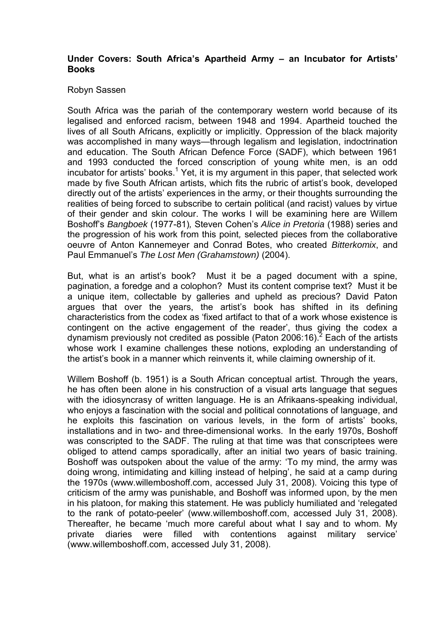## **Under Covers: South Africa's Apartheid Army – an Incubator for Artists' Books**

## Robyn Sassen

South Africa was the pariah of the contemporary western world because of its legalised and enforced racism, between 1948 and 1994. Apartheid touched the lives of all South Africans, explicitly or implicitly. Oppression of the black majority was accomplished in many ways—through legalism and legislation, indoctrination and education. The South African Defence Force (SADF), which between 1961 and 1993 conducted the forced conscription of young white men, is an odd incubator for artists' books.<sup>1</sup> Yet, it is my argument in this paper, that selected work made by five South African artists, which fits the rubric of artist's book, developed directly out of the artists' experiences in the army, or their thoughts surrounding the realities of being forced to subscribe to certain political (and racist) values by virtue of their gender and skin colour. The works I will be examining here are Willem Boshoff's Bangboek (1977-81), Steven Cohen's Alice in Pretoria (1988) series and the progression of his work from this point, selected pieces from the collaborative oeuvre of Anton Kannemeyer and Conrad Botes, who created Bitterkomix, and Paul Emmanuel's The Lost Men (Grahamstown) (2004).

But, what is an artist's book? Must it be a paged document with a spine, pagination, a foredge and a colophon? Must its content comprise text? Must it be a unique item, collectable by galleries and upheld as precious? David Paton argues that over the years, the artist's book has shifted in its defining characteristics from the codex as 'fixed artifact to that of a work whose existence is contingent on the active engagement of the reader', thus giving the codex a dynamism previously not credited as possible (Paton 2006:16).<sup>2</sup> Each of the artists whose work I examine challenges these notions, exploding an understanding of the artist's book in a manner which reinvents it, while claiming ownership of it.

Willem Boshoff (b. 1951) is a South African conceptual artist. Through the years, he has often been alone in his construction of a visual arts language that segues with the idiosyncrasy of written language. He is an Afrikaans-speaking individual, who enjoys a fascination with the social and political connotations of language, and he exploits this fascination on various levels, in the form of artists' books, installations and in two- and three-dimensional works. In the early 1970s, Boshoff was conscripted to the SADF. The ruling at that time was that conscriptees were obliged to attend camps sporadically, after an initial two years of basic training. Boshoff was outspoken about the value of the army: 'To my mind, the army was doing wrong, intimidating and killing instead of helping', he said at a camp during the 1970s (www.willemboshoff.com, accessed July 31, 2008). Voicing this type of criticism of the army was punishable, and Boshoff was informed upon, by the men in his platoon, for making this statement. He was publicly humiliated and 'relegated to the rank of potato-peeler' (www.willemboshoff.com, accessed July 31, 2008). Thereafter, he became 'much more careful about what I say and to whom. My private diaries were filled with contentions against military service' (www.willemboshoff.com, accessed July 31, 2008).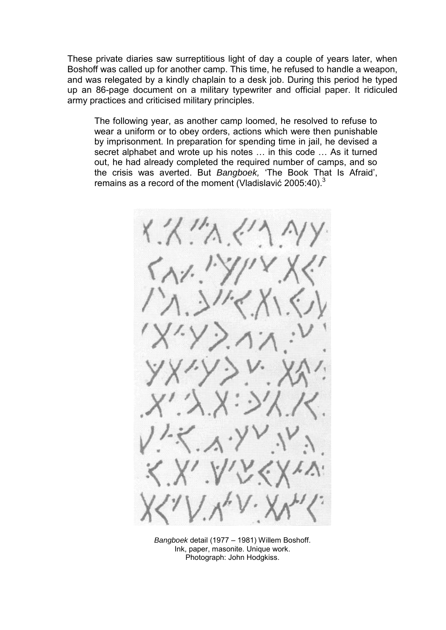These private diaries saw surreptitious light of day a couple of years later, when Boshoff was called up for another camp. This time, he refused to handle a weapon, and was relegated by a kindly chaplain to a desk job. During this period he typed up an 86-page document on a military typewriter and official paper. It ridiculed army practices and criticised military principles.

The following year, as another camp loomed, he resolved to refuse to wear a uniform or to obey orders, actions which were then punishable by imprisonment. In preparation for spending time in jail, he devised a secret alphabet and wrote up his notes … in this code … As it turned out, he had already completed the required number of camps, and so the crisis was averted. But Bangboek, 'The Book That Is Afraid', remains as a record of the moment (Vladislavić 2005:40). $3$ 



Bangboek detail (1977 – 1981) Willem Boshoff. Ink, paper, masonite. Unique work. Photograph: John Hodgkiss.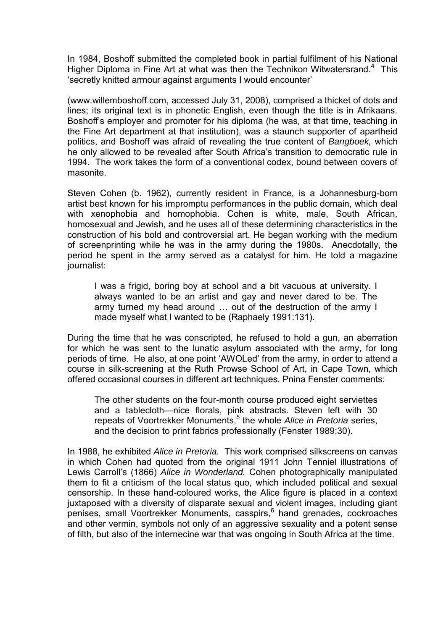In 1984, Boshoff submitted the completed book in partial fulfilment of his National Higher Diploma in Fine Art at what was then the Technikon Witwatersrand.<sup>4</sup> This 'secretly knitted armour against arguments I would encounter'

(www.willemboshoff.com, accessed July 31, 2008), comprised a thicket of dots and lines; its original text is in phonetic English, even though the title is in Afrikaans. Boshoff's employer and promoter for his diploma (he was, at that time, teaching in the Fine Art department at that institution), was a staunch supporter of apartheid politics, and Boshoff was afraid of revealing the true content of Bangboek, which he only allowed to be revealed after South Africa's transition to democratic rule in 1994. The work takes the form of a conventional codex, bound between covers of masonite.

Steven Cohen (b. 1962), currently resident in France, is a Johannesburg-born artist best known for his impromptu performances in the public domain, which deal with xenophobia and homophobia. Cohen is white, male, South African, homosexual and Jewish, and he uses all of these determining characteristics in the construction of his bold and controversial art. He began working with the medium of screenprinting while he was in the army during the 1980s. Anecdotally, the period he spent in the army served as a catalyst for him. He told a magazine journalist:

I was a frigid, boring boy at school and a bit vacuous at university. I always wanted to be an artist and gay and never dared to be. The army turned my head around ... out of the destruction of the army I made myself what I wanted to be (Raphaely 1991:131).

During the time that he was conscripted, he refused to hold a gun, an aberration for which he was sent to the lunatic asylum associated with the army, for long periods of time. He also, at one point 'AWOLed' from the army, in order to attend a course in silk-screening at the Ruth Prowse School of Art, in Cape Town, which offered occasional courses in different art techniques. Pnina Fenster comments:

The other students on the four-month course produced eight serviettes and a tablecloth—nice florals, pink abstracts. Steven left with 30 repeats of Voortrekker Monuments,<sup>5</sup> the whole Alice in Pretoria series, and the decision to print fabrics professionally (Fenster 1989:30).

In 1988, he exhibited Alice in Pretoria. This work comprised silkscreens on canvas in which Cohen had quoted from the original 1911 John Tenniel illustrations of Lewis Carroll's (1866) Alice in Wonderland. Cohen photographically manipulated them to fit a criticism of the local status quo, which included political and sexual censorship. In these hand-coloured works, the Alice figure is placed in a context juxtaposed with a diversity of disparate sexual and violent images, including giant penises, small Voortrekker Monuments, casspirs,<sup>6</sup> hand grenades, cockroaches and other vermin, symbols not only of an aggressive sexuality and a potent sense of filth, but also of the internecine war that was ongoing in South Africa at the time.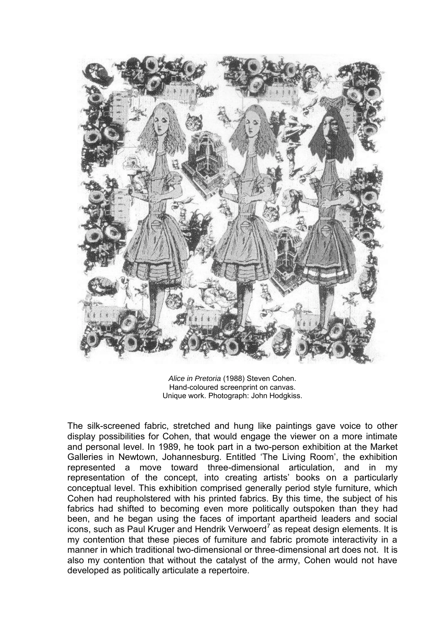

Alice in Pretoria (1988) Steven Cohen. Hand-coloured screenprint on canvas. Unique work. Photograph: John Hodgkiss.

The silk-screened fabric, stretched and hung like paintings gave voice to other display possibilities for Cohen, that would engage the viewer on a more intimate and personal level. In 1989, he took part in a two-person exhibition at the Market Galleries in Newtown, Johannesburg. Entitled 'The Living Room', the exhibition represented a move toward three-dimensional articulation, and in my representation of the concept, into creating artists' books on a particularly conceptual level. This exhibition comprised generally period style furniture, which Cohen had reupholstered with his printed fabrics. By this time, the subject of his fabrics had shifted to becoming even more politically outspoken than they had been, and he began using the faces of important apartheid leaders and social icons, such as Paul Kruger and Hendrik Verwoerd<sup>7</sup> as repeat design elements. It is my contention that these pieces of furniture and fabric promote interactivity in a manner in which traditional two-dimensional or three-dimensional art does not. It is also my contention that without the catalyst of the army, Cohen would not have developed as politically articulate a repertoire.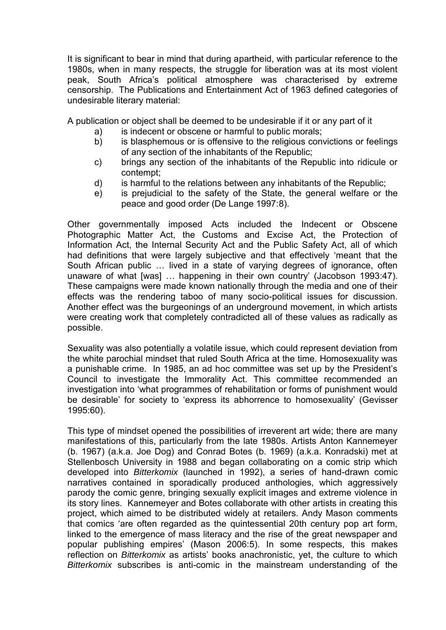It is significant to bear in mind that during apartheid, with particular reference to the 1980s, when in many respects, the struggle for liberation was at its most violent peak, South Africa's political atmosphere was characterised by extreme censorship. The Publications and Entertainment Act of 1963 defined categories of undesirable literary material:

A publication or object shall be deemed to be undesirable if it or any part of it

- a) is indecent or obscene or harmful to public morals;
- b) is blasphemous or is offensive to the religious convictions or feelings of any section of the inhabitants of the Republic;
- c) brings any section of the inhabitants of the Republic into ridicule or contempt;
- d) is harmful to the relations between any inhabitants of the Republic;
- e) is prejudicial to the safety of the State, the general welfare or the peace and good order (De Lange 1997:8).

Other governmentally imposed Acts included the Indecent or Obscene Photographic Matter Act, the Customs and Excise Act, the Protection of Information Act, the Internal Security Act and the Public Safety Act, all of which had definitions that were largely subjective and that effectively 'meant that the South African public ... lived in a state of varying degrees of ignorance, often unaware of what [was] … happening in their own country' (Jacobson 1993:47). These campaigns were made known nationally through the media and one of their effects was the rendering taboo of many socio-political issues for discussion. Another effect was the burgeonings of an underground movement, in which artists were creating work that completely contradicted all of these values as radically as possible.

Sexuality was also potentially a volatile issue, which could represent deviation from the white parochial mindset that ruled South Africa at the time. Homosexuality was a punishable crime. In 1985, an ad hoc committee was set up by the President's Council to investigate the Immorality Act. This committee recommended an investigation into 'what programmes of rehabilitation or forms of punishment would be desirable' for society to 'express its abhorrence to homosexuality' (Gevisser 1995:60).

This type of mindset opened the possibilities of irreverent art wide; there are many manifestations of this, particularly from the late 1980s. Artists Anton Kannemeyer (b. 1967) (a.k.a. Joe Dog) and Conrad Botes (b. 1969) (a.k.a. Konradski) met at Stellenbosch University in 1988 and began collaborating on a comic strip which developed into Bitterkomix (launched in 1992), a series of hand-drawn comic narratives contained in sporadically produced anthologies, which aggressively parody the comic genre, bringing sexually explicit images and extreme violence in its story lines. Kannemeyer and Botes collaborate with other artists in creating this project, which aimed to be distributed widely at retailers. Andy Mason comments that comics 'are often regarded as the quintessential 20th century pop art form, linked to the emergence of mass literacy and the rise of the great newspaper and popular publishing empires' (Mason 2006:5). In some respects, this makes reflection on Bitterkomix as artists' books anachronistic, yet, the culture to which Bitterkomix subscribes is anti-comic in the mainstream understanding of the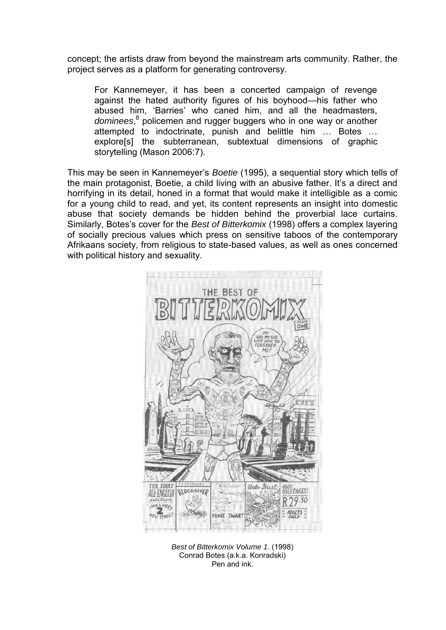concept; the artists draw from beyond the mainstream arts community. Rather, the project serves as a platform for generating controversy.

For Kannemeyer, it has been a concerted campaign of revenge against the hated authority figures of his boyhood—his father who abused him, 'Barries' who caned him, and all the headmasters, dominees,<sup>8</sup> policemen and rugger buggers who in one way or another attempted to indoctrinate, punish and belittle him … Botes … explore[s] the subterranean, subtextual dimensions of graphic storytelling (Mason 2006:7).

This may be seen in Kannemeyer's Boetie (1995), a sequential story which tells of the main protagonist, Boetie, a child living with an abusive father. It's a direct and horrifying in its detail, honed in a format that would make it intelligible as a comic for a young child to read, and yet, its content represents an insight into domestic abuse that society demands be hidden behind the proverbial lace curtains. Similarly, Botes's cover for the Best of Bitterkomix (1998) offers a complex layering of socially precious values which press on sensitive taboos of the contemporary Afrikaans society, from religious to state-based values, as well as ones concerned with political history and sexuality.



Best of Bitterkomix Volume 1. (1998) Conrad Botes (a.k.a. Konradski) Pen and ink.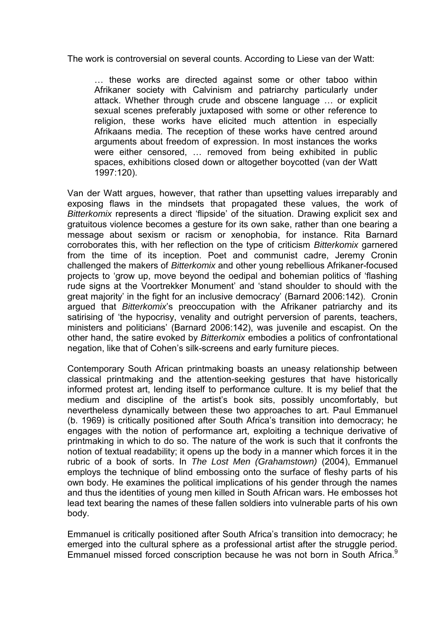The work is controversial on several counts. According to Liese van der Watt:

… these works are directed against some or other taboo within Afrikaner society with Calvinism and patriarchy particularly under attack. Whether through crude and obscene language … or explicit sexual scenes preferably juxtaposed with some or other reference to religion, these works have elicited much attention in especially Afrikaans media. The reception of these works have centred around arguments about freedom of expression. In most instances the works were either censored, ... removed from being exhibited in public spaces, exhibitions closed down or altogether boycotted (van der Watt 1997:120).

Van der Watt argues, however, that rather than upsetting values irreparably and exposing flaws in the mindsets that propagated these values, the work of Bitterkomix represents a direct 'flipside' of the situation. Drawing explicit sex and gratuitous violence becomes a gesture for its own sake, rather than one bearing a message about sexism or racism or xenophobia, for instance. Rita Barnard corroborates this, with her reflection on the type of criticism Bitterkomix garnered from the time of its inception. Poet and communist cadre, Jeremy Cronin challenged the makers of Bitterkomix and other young rebellious Afrikaner-focused projects to 'grow up, move beyond the oedipal and bohemian politics of 'flashing rude signs at the Voortrekker Monument' and 'stand shoulder to should with the great majority' in the fight for an inclusive democracy' (Barnard 2006:142). Cronin argued that Bitterkomix's preoccupation with the Afrikaner patriarchy and its satirising of 'the hypocrisy, venality and outright perversion of parents, teachers, ministers and politicians' (Barnard 2006:142), was juvenile and escapist. On the other hand, the satire evoked by Bitterkomix embodies a politics of confrontational negation, like that of Cohen's silk-screens and early furniture pieces.

Contemporary South African printmaking boasts an uneasy relationship between classical printmaking and the attention-seeking gestures that have historically informed protest art, lending itself to performance culture. It is my belief that the medium and discipline of the artist's book sits, possibly uncomfortably, but nevertheless dynamically between these two approaches to art. Paul Emmanuel (b. 1969) is critically positioned after South Africa's transition into democracy; he engages with the notion of performance art, exploiting a technique derivative of printmaking in which to do so. The nature of the work is such that it confronts the notion of textual readability; it opens up the body in a manner which forces it in the rubric of a book of sorts. In The Lost Men (Grahamstown) (2004), Emmanuel employs the technique of blind embossing onto the surface of fleshy parts of his own body. He examines the political implications of his gender through the names and thus the identities of young men killed in South African wars. He embosses hot lead text bearing the names of these fallen soldiers into vulnerable parts of his own body.

Emmanuel is critically positioned after South Africa's transition into democracy; he emerged into the cultural sphere as a professional artist after the struggle period. Emmanuel missed forced conscription because he was not born in South Africa.<sup>9</sup>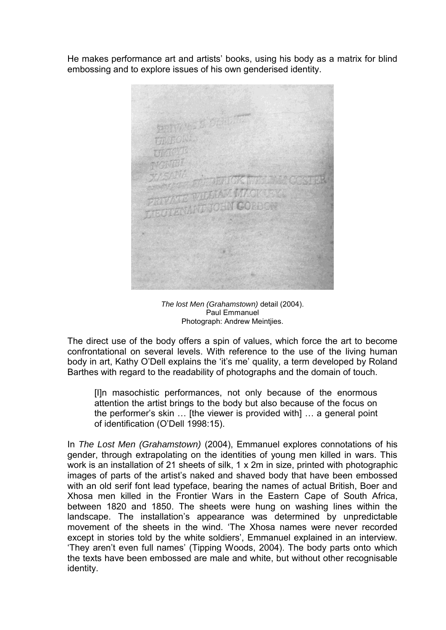He makes performance art and artists' books, using his body as a matrix for blind embossing and to explore issues of his own genderised identity.

The lost Men (Grahamstown) detail (2004). Paul Emmanuel Photograph: Andrew Meintjies.

The direct use of the body offers a spin of values, which force the art to become confrontational on several levels. With reference to the use of the living human body in art, Kathy O'Dell explains the 'it's me' quality, a term developed by Roland Barthes with regard to the readability of photographs and the domain of touch.

[I]n masochistic performances, not only because of the enormous attention the artist brings to the body but also because of the focus on the performer's skin … [the viewer is provided with] … a general point of identification (O'Dell 1998:15).

In The Lost Men (Grahamstown) (2004), Emmanuel explores connotations of his gender, through extrapolating on the identities of young men killed in wars. This work is an installation of 21 sheets of silk, 1 x 2m in size, printed with photographic images of parts of the artist's naked and shaved body that have been embossed with an old serif font lead typeface, bearing the names of actual British, Boer and Xhosa men killed in the Frontier Wars in the Eastern Cape of South Africa, between 1820 and 1850. The sheets were hung on washing lines within the landscape. The installation's appearance was determined by unpredictable movement of the sheets in the wind. 'The Xhosa names were never recorded except in stories told by the white soldiers', Emmanuel explained in an interview. 'They aren't even full names' (Tipping Woods, 2004). The body parts onto which the texts have been embossed are male and white, but without other recognisable identity.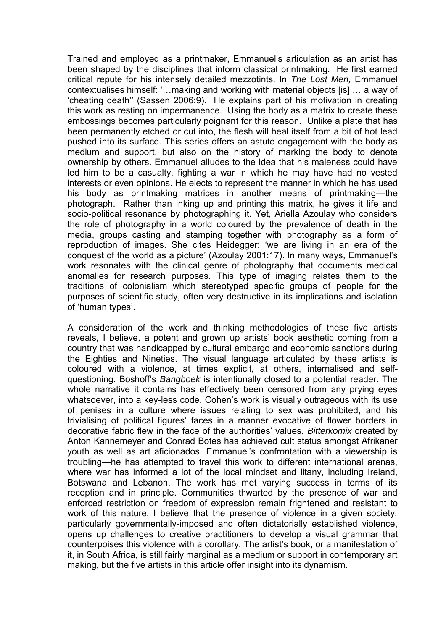Trained and employed as a printmaker, Emmanuel's articulation as an artist has been shaped by the disciplines that inform classical printmaking. He first earned critical repute for his intensely detailed mezzotints. In The Lost Men, Emmanuel contextualises himself: '…making and working with material objects [is] … a way of 'cheating death'' (Sassen 2006:9). He explains part of his motivation in creating this work as resting on impermanence. Using the body as a matrix to create these embossings becomes particularly poignant for this reason. Unlike a plate that has been permanently etched or cut into, the flesh will heal itself from a bit of hot lead pushed into its surface. This series offers an astute engagement with the body as medium and support, but also on the history of marking the body to denote ownership by others. Emmanuel alludes to the idea that his maleness could have led him to be a casualty, fighting a war in which he may have had no vested interests or even opinions. He elects to represent the manner in which he has used his body as printmaking matrices in another means of printmaking—the photograph. Rather than inking up and printing this matrix, he gives it life and socio-political resonance by photographing it. Yet, Ariella Azoulay who considers the role of photography in a world coloured by the prevalence of death in the media, groups casting and stamping together with photography as a form of reproduction of images. She cites Heidegger: 'we are living in an era of the conquest of the world as a picture' (Azoulay 2001:17). In many ways, Emmanuel's work resonates with the clinical genre of photography that documents medical anomalies for research purposes. This type of imaging relates them to the traditions of colonialism which stereotyped specific groups of people for the purposes of scientific study, often very destructive in its implications and isolation of 'human types'.

A consideration of the work and thinking methodologies of these five artists reveals, I believe, a potent and grown up artists' book aesthetic coming from a country that was handicapped by cultural embargo and economic sanctions during the Eighties and Nineties. The visual language articulated by these artists is coloured with a violence, at times explicit, at others, internalised and selfquestioning. Boshoff's Bangboek is intentionally closed to a potential reader. The whole narrative it contains has effectively been censored from any prying eyes whatsoever, into a key-less code. Cohen's work is visually outrageous with its use of penises in a culture where issues relating to sex was prohibited, and his trivialising of political figures' faces in a manner evocative of flower borders in decorative fabric flew in the face of the authorities' values. Bitterkomix created by Anton Kannemeyer and Conrad Botes has achieved cult status amongst Afrikaner youth as well as art aficionados. Emmanuel's confrontation with a viewership is troubling—he has attempted to travel this work to different international arenas, where war has informed a lot of the local mindset and litany, including Ireland, Botswana and Lebanon. The work has met varying success in terms of its reception and in principle. Communities thwarted by the presence of war and enforced restriction on freedom of expression remain frightened and resistant to work of this nature. I believe that the presence of violence in a given society, particularly governmentally-imposed and often dictatorially established violence, opens up challenges to creative practitioners to develop a visual grammar that counterpoises this violence with a corollary. The artist's book, or a manifestation of it, in South Africa, is still fairly marginal as a medium or support in contemporary art making, but the five artists in this article offer insight into its dynamism.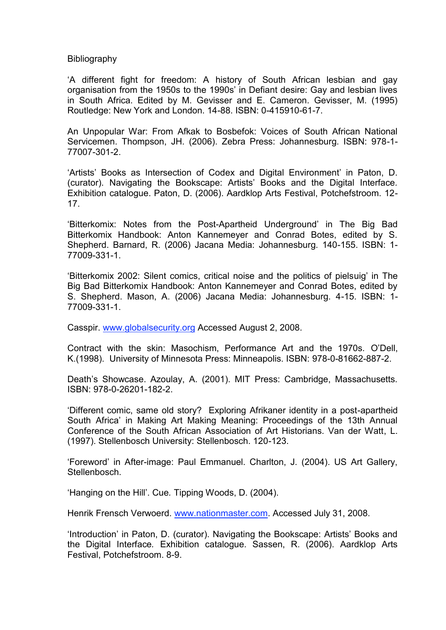Bibliography

'A different fight for freedom: A history of South African lesbian and gay organisation from the 1950s to the 1990s' in Defiant desire: Gay and lesbian lives in South Africa. Edited by M. Gevisser and E. Cameron. Gevisser, M. (1995) Routledge: New York and London. 14-88. ISBN: 0-415910-61-7.

An Unpopular War: From Afkak to Bosbefok: Voices of South African National Servicemen. Thompson, JH. (2006). Zebra Press: Johannesburg. ISBN: 978-1- 77007-301-2.

'Artists' Books as Intersection of Codex and Digital Environment' in Paton, D. (curator). Navigating the Bookscape: Artists' Books and the Digital Interface. Exhibition catalogue. Paton, D. (2006). Aardklop Arts Festival, Potchefstroom. 12- 17.

'Bitterkomix: Notes from the Post-Apartheid Underground' in The Big Bad Bitterkomix Handbook: Anton Kannemeyer and Conrad Botes, edited by S. Shepherd. Barnard, R. (2006) Jacana Media: Johannesburg. 140-155. ISBN: 1- 77009-331-1.

'Bitterkomix 2002: Silent comics, critical noise and the politics of pielsuig' in The Big Bad Bitterkomix Handbook: Anton Kannemeyer and Conrad Botes, edited by S. Shepherd. Mason, A. (2006) Jacana Media: Johannesburg. 4-15. ISBN: 1- 77009-331-1.

Casspir. [www.globalsecurity.org](http://www.globalsecurity.org/) Accessed August 2, 2008.

Contract with the skin: Masochism, Performance Art and the 1970s. O'Dell, K.(1998). University of Minnesota Press: Minneapolis. ISBN: 978-0-81662-887-2.

Death's Showcase. Azoulay, A. (2001). MIT Press: Cambridge, Massachusetts. ISBN: 978-0-26201-182-2.

'Different comic, same old story? Exploring Afrikaner identity in a post-apartheid South Africa' in Making Art Making Meaning: Proceedings of the 13th Annual Conference of the South African Association of Art Historians. Van der Watt, L. (1997). Stellenbosch University: Stellenbosch. 120-123.

'Foreword' in After-image: Paul Emmanuel. Charlton, J. (2004). US Art Gallery, **Stellenbosch.** 

'Hanging on the Hill'. Cue. Tipping Woods, D. (2004).

Henrik Frensch Verwoerd. [www.nationmaster.com.](http://www.nationmaster.com/) Accessed July 31, 2008.

'Introduction' in Paton, D. (curator). Navigating the Bookscape: Artists' Books and the Digital Interface. Exhibition catalogue. Sassen, R. (2006). Aardklop Arts Festival, Potchefstroom. 8-9.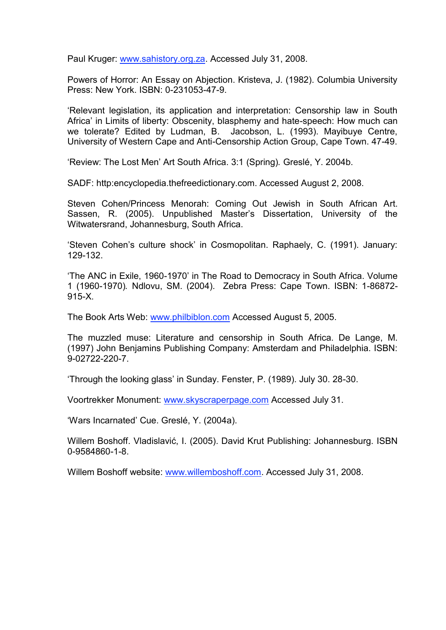Paul Kruger: [www.sahistory.org.za.](http://www.sahistory.org.za/) Accessed July 31, 2008.

Powers of Horror: An Essay on Abjection. Kristeva, J. (1982). Columbia University Press: New York. ISBN: 0-231053-47-9.

'Relevant legislation, its application and interpretation: Censorship law in South Africa' in Limits of liberty: Obscenity, blasphemy and hate-speech: How much can we tolerate? Edited by Ludman, B. Jacobson, L. (1993). Mayibuye Centre, University of Western Cape and Anti-Censorship Action Group, Cape Town. 47-49.

'Review: The Lost Men' Art South Africa. 3:1 (Spring). Greslé, Y. 2004b.

SADF: http:encyclopedia.thefreedictionary.com. Accessed August 2, 2008.

Steven Cohen/Princess Menorah: Coming Out Jewish in South African Art. Sassen, R. (2005). Unpublished Master's Dissertation, University of the Witwatersrand, Johannesburg, South Africa.

'Steven Cohen's culture shock' in Cosmopolitan. Raphaely, C. (1991). January: 129-132.

'The ANC in Exile, 1960-1970' in The Road to Democracy in South Africa. Volume 1 (1960-1970). Ndlovu, SM. (2004). Zebra Press: Cape Town. ISBN: 1-86872- 915-X.

The Book Arts Web: [www.philbiblon.com](http://www.philbiblon.com/) Accessed August 5, 2005.

The muzzled muse: Literature and censorship in South Africa. De Lange, M. (1997) John Benjamins Publishing Company: Amsterdam and Philadelphia. ISBN: 9-02722-220-7.

'Through the looking glass' in Sunday. Fenster, P. (1989). July 30. 28-30.

Voortrekker Monument: [www.skyscraperpage.com](http://www.skyscraperpage.com/) Accessed July 31.

'Wars Incarnated' Cue. Greslé, Y. (2004a).

Willem Boshoff. Vladislavić, I. (2005). David Krut Publishing: Johannesburg. ISBN 0-9584860-1-8.

Willem Boshoff website: [www.willemboshoff.com.](http://www.willemboshof.com/) Accessed July 31, 2008.